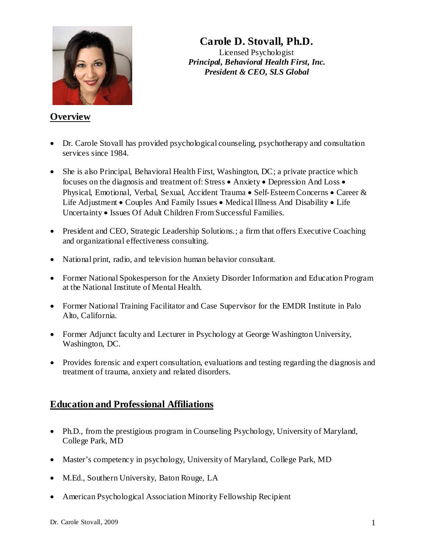

# **Carole D. Stovall, Ph.D.**

Licensed Psychologist *Principal, Behavioral Health First, Inc. President & CEO, SLS Global*

#### **Overview**

- Dr. Carole Stovall has provided psychological counseling, psychotherapy and consultation services since 1984.
- She is also Principal, Behavioral Health First, Washington, DC; a private practice which focuses on the diagnosis and treatment of: Stress • Anxiety • Depression And Loss • Physical, Emotional, Verbal, Sexual, Accident Trauma • Self-Esteem Concerns • Career & Life Adjustment • Couples And Family Issues • Medical Illness And Disability • Life Uncertainty • Issues Of Adult Children From Successful Families.
- President and CEO, Strategic Leadership Solutions.; a firm that offers Executive Coaching and organizational effectiveness consulting.
- National print, radio, and television human behavior consultant.
- Former National Spokesperson for the Anxiety Disorder Information and Education Program at the National Institute of Mental Health.
- Former National Training Facilitator and Case Supervisor for the EMDR Institute in Palo Alto, California.
- Former Adjunct faculty and Lecturer in Psychology at George Washington University, Washington, DC.
- Provides forensic and expert consultation, evaluations and testing regarding the diagnosis and treatment of trauma, anxiety and related disorders.

### **Education and Professional Affiliations**

- Ph.D., from the prestigious program in Counseling Psychology, University of Maryland, College Park, MD
- Master's competency in psychology, University of Maryland, College Park, MD
- M.Ed., Southern University, Baton Rouge, LA
- American Psychological Association Minority Fellowship Recipient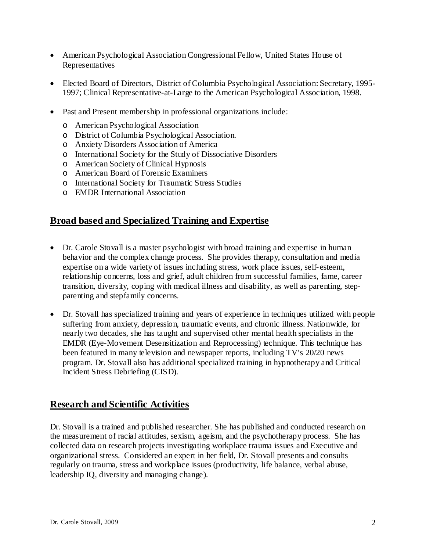- American Psychological Association Congressional Fellow, United States House of Representatives
- Elected Board of Directors, District of Columbia Psychological Association: Secretary, 1995- 1997; Clinical Representative-at-Large to the American Psychological Association, 1998.
- Past and Present membership in professional organizations include:
	- o American Psychological Association
	- o District of Columbia Psychological Association.
	- o Anxiety Disorders Association of America
	- o International Society for the Study of Dissociative Disorders
	- o American Society of Clinical Hypnosis
	- o American Board of Forensic Examiners
	- o International Society for Traumatic Stress Studies
	- o EMDR International Association

### **Broad based and Specialized Training and Expertise**

- Dr. Carole Stovall is a master psychologist with broad training and expertise in human behavior and the complex change process. She provides therapy, consultation and media expertise on a wide variety of issues including stress, work place issues, self-esteem, relationship concerns, loss and grief, adult children from successful families, fame, career transition, diversity, coping with medical illness and disability, as well as parenting, stepparenting and stepfamily concerns.
- Dr. Stovall has specialized training and years of experience in techniques utilized with people suffering from anxiety, depression, traumatic events, and chronic illness. Nationwide, for nearly two decades, she has taught and supervised other mental health specialists in the EMDR (Eye-Movement Desensitization and Reprocessing) technique. This technique has been featured in many television and newspaper reports, including TV's 20/20 news program. Dr. Stovall also has additional specialized training in hypnotherapy and Critical Incident Stress Debriefing (CISD).

### **Research and Scientific Activities**

Dr. Stovall is a trained and published researcher. She has published and conducted research on the measurement of racial attitudes, sexism, ageism, and the psychotherapy process. She has collected data on research projects investigating workplace trauma issues and Executive and organizational stress. Considered an expert in her field, Dr. Stovall presents and consults regularly on trauma, stress and workplace issues (productivity, life balance, verbal abuse, leadership IQ, diversity and managing change).